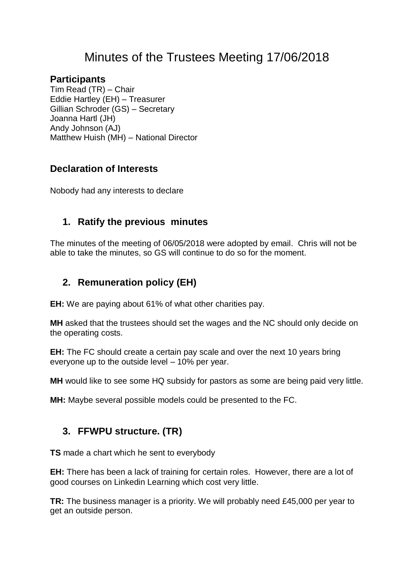# Minutes of the Trustees Meeting 17/06/2018

#### **Participants**

Tim Read (TR) – Chair Eddie Hartley (EH) – Treasurer Gillian Schroder (GS) – Secretary Joanna Hartl (JH) Andy Johnson (AJ) Matthew Huish (MH) – National Director

#### **Declaration of Interests**

Nobody had any interests to declare

#### **1. Ratify the previous minutes**

The minutes of the meeting of 06/05/2018 were adopted by email. Chris will not be able to take the minutes, so GS will continue to do so for the moment.

## **2. Remuneration policy (EH)**

**EH:** We are paying about 61% of what other charities pay.

**MH** asked that the trustees should set the wages and the NC should only decide on the operating costs.

**EH:** The FC should create a certain pay scale and over the next 10 years bring everyone up to the outside level – 10% per year.

**MH** would like to see some HQ subsidy for pastors as some are being paid very little.

**MH:** Maybe several possible models could be presented to the FC.

## **3. FFWPU structure. (TR)**

**TS** made a chart which he sent to everybody

**EH:** There has been a lack of training for certain roles. However, there are a lot of good courses on Linkedin Learning which cost very little.

**TR:** The business manager is a priority. We will probably need £45,000 per year to get an outside person.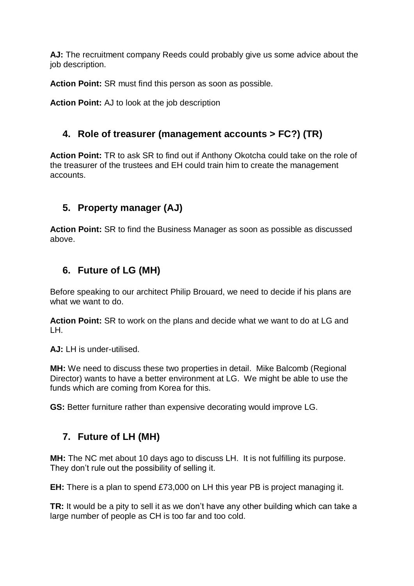**AJ:** The recruitment company Reeds could probably give us some advice about the job description.

**Action Point:** SR must find this person as soon as possible.

**Action Point:** AJ to look at the job description

#### **4. Role of treasurer (management accounts > FC?) (TR)**

**Action Point:** TR to ask SR to find out if Anthony Okotcha could take on the role of the treasurer of the trustees and EH could train him to create the management accounts.

#### **5. Property manager (AJ)**

**Action Point:** SR to find the Business Manager as soon as possible as discussed above.

#### **6. Future of LG (MH)**

Before speaking to our architect Philip Brouard, we need to decide if his plans are what we want to do.

**Action Point:** SR to work on the plans and decide what we want to do at LG and LH.

**AJ:** LH is under-utilised.

**MH:** We need to discuss these two properties in detail. Mike Balcomb (Regional Director) wants to have a better environment at LG. We might be able to use the funds which are coming from Korea for this.

**GS:** Better furniture rather than expensive decorating would improve LG.

#### **7. Future of LH (MH)**

**MH:** The NC met about 10 days ago to discuss LH. It is not fulfilling its purpose. They don't rule out the possibility of selling it.

**EH:** There is a plan to spend £73,000 on LH this year PB is project managing it.

**TR:** It would be a pity to sell it as we don't have any other building which can take a large number of people as CH is too far and too cold.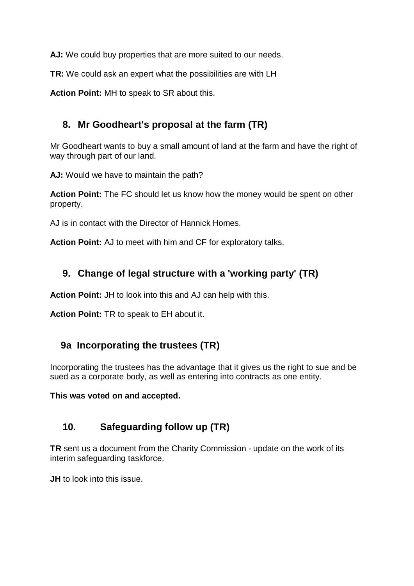AJ: We could buy properties that are more suited to our needs.

**TR:** We could ask an expert what the possibilities are with LH

**Action Point:** MH to speak to SR about this.

## **8. Mr Goodheart's proposal at the farm (TR)**

Mr Goodheart wants to buy a small amount of land at the farm and have the right of way through part of our land.

**AJ:** Would we have to maintain the path?

**Action Point:** The FC should let us know how the money would be spent on other property.

AJ is in contact with the Director of Hannick Homes.

**Action Point:** AJ to meet with him and CF for exploratory talks.

## **9. Change of legal structure with a 'working party' (TR)**

**Action Point:** JH to look into this and AJ can help with this.

**Action Point:** TR to speak to EH about it.

## **9a Incorporating the trustees (TR)**

Incorporating the trustees has the advantage that it gives us the right to sue and be sued as a corporate body, as well as entering into contracts as one entity.

**This was voted on and accepted.**

## **10. Safeguarding follow up (TR)**

**TR** sent us a document from the Charity Commission - update on the work of its interim safeguarding taskforce.

**JH** to look into this issue.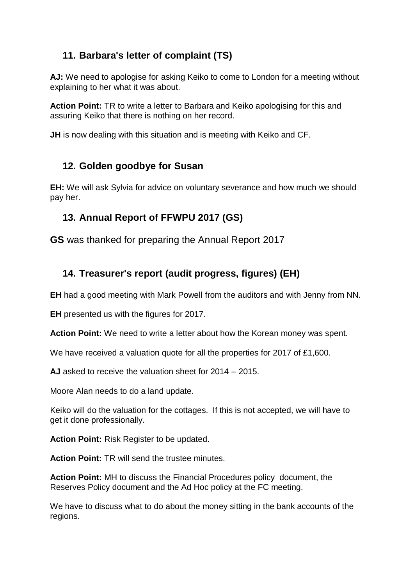## **11. Barbara's letter of complaint (TS)**

**AJ:** We need to apologise for asking Keiko to come to London for a meeting without explaining to her what it was about.

**Action Point:** TR to write a letter to Barbara and Keiko apologising for this and assuring Keiko that there is nothing on her record.

**JH** is now dealing with this situation and is meeting with Keiko and CF.

## **12. Golden goodbye for Susan**

**EH:** We will ask Sylvia for advice on voluntary severance and how much we should pay her.

## **13. Annual Report of FFWPU 2017 (GS)**

**GS** was thanked for preparing the Annual Report 2017

#### **14. Treasurer's report (audit progress, figures) (EH)**

**EH** had a good meeting with Mark Powell from the auditors and with Jenny from NN.

**EH** presented us with the figures for 2017.

**Action Point:** We need to write a letter about how the Korean money was spent.

We have received a valuation quote for all the properties for 2017 of £1,600.

**AJ** asked to receive the valuation sheet for 2014 – 2015.

Moore Alan needs to do a land update.

Keiko will do the valuation for the cottages. If this is not accepted, we will have to get it done professionally.

**Action Point:** Risk Register to be updated.

**Action Point:** TR will send the trustee minutes.

**Action Point:** MH to discuss the Financial Procedures policy document, the Reserves Policy document and the Ad Hoc policy at the FC meeting.

We have to discuss what to do about the money sitting in the bank accounts of the regions.